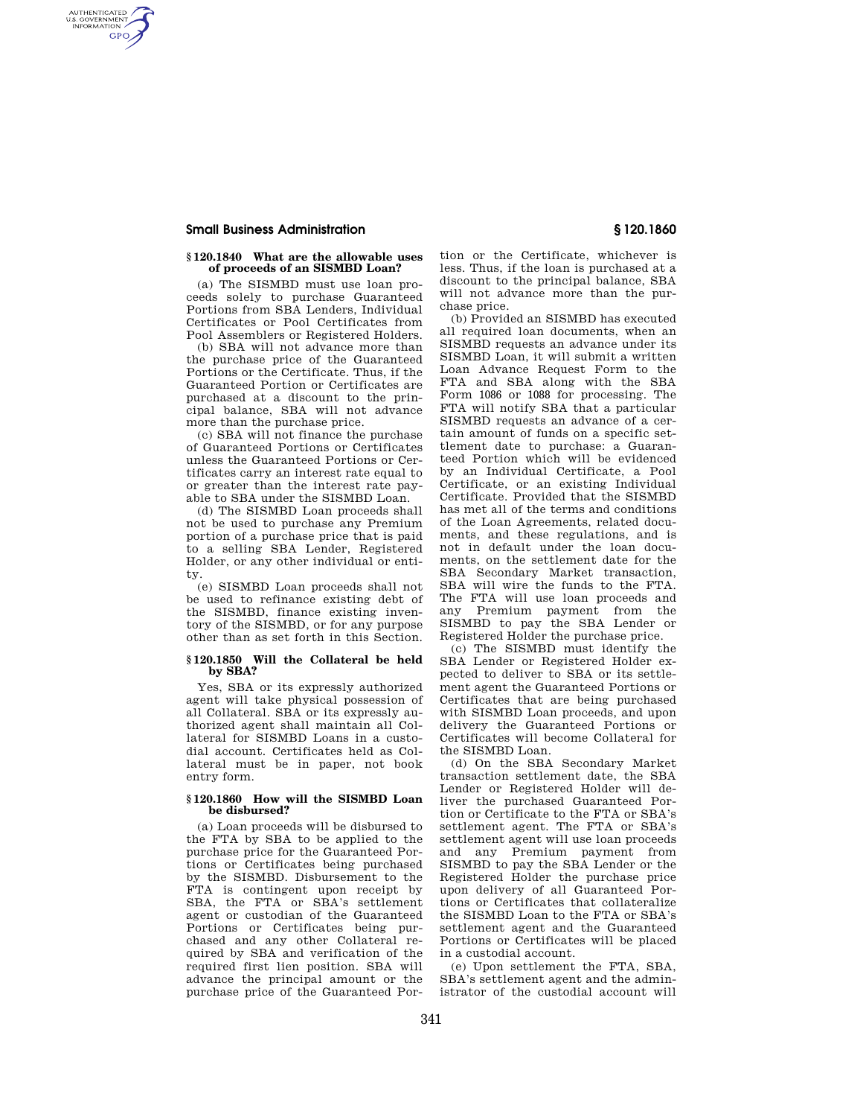# **Small Business Administration § 120.1860**

AUTHENTICATED<br>U.S. GOVERNMENT<br>INFORMATION **GPO** 

# **§ 120.1840 What are the allowable uses of proceeds of an SISMBD Loan?**

(a) The SISMBD must use loan proceeds solely to purchase Guaranteed Portions from SBA Lenders, Individual Certificates or Pool Certificates from Pool Assemblers or Registered Holders.

(b) SBA will not advance more than the purchase price of the Guaranteed Portions or the Certificate. Thus, if the Guaranteed Portion or Certificates are purchased at a discount to the principal balance, SBA will not advance more than the purchase price.

(c) SBA will not finance the purchase of Guaranteed Portions or Certificates unless the Guaranteed Portions or Certificates carry an interest rate equal to or greater than the interest rate payable to SBA under the SISMBD Loan.

(d) The SISMBD Loan proceeds shall not be used to purchase any Premium portion of a purchase price that is paid to a selling SBA Lender, Registered Holder, or any other individual or entity.

(e) SISMBD Loan proceeds shall not be used to refinance existing debt of the SISMBD, finance existing inventory of the SISMBD, or for any purpose other than as set forth in this Section.

### **§ 120.1850 Will the Collateral be held by SBA?**

Yes, SBA or its expressly authorized agent will take physical possession of all Collateral. SBA or its expressly authorized agent shall maintain all Collateral for SISMBD Loans in a custodial account. Certificates held as Collateral must be in paper, not book entry form.

# **§ 120.1860 How will the SISMBD Loan be disbursed?**

(a) Loan proceeds will be disbursed to the FTA by SBA to be applied to the purchase price for the Guaranteed Portions or Certificates being purchased by the SISMBD. Disbursement to the FTA is contingent upon receipt by SBA, the FTA or SBA's settlement agent or custodian of the Guaranteed Portions or Certificates being purchased and any other Collateral required by SBA and verification of the required first lien position. SBA will advance the principal amount or the purchase price of the Guaranteed Por-

tion or the Certificate, whichever is less. Thus, if the loan is purchased at a discount to the principal balance, SBA will not advance more than the purchase price.

(b) Provided an SISMBD has executed all required loan documents, when an SISMBD requests an advance under its SISMBD Loan, it will submit a written Loan Advance Request Form to the FTA and SBA along with the SBA Form 1086 or 1088 for processing. The FTA will notify SBA that a particular SISMBD requests an advance of a certain amount of funds on a specific settlement date to purchase: a Guaranteed Portion which will be evidenced by an Individual Certificate, a Pool Certificate, or an existing Individual Certificate. Provided that the SISMBD has met all of the terms and conditions of the Loan Agreements, related documents, and these regulations, and is not in default under the loan documents, on the settlement date for the SBA Secondary Market transaction, SBA will wire the funds to the FTA. The FTA will use loan proceeds and any Premium payment from the SISMBD to pay the SBA Lender or Registered Holder the purchase price.

(c) The SISMBD must identify the SBA Lender or Registered Holder expected to deliver to SBA or its settlement agent the Guaranteed Portions or Certificates that are being purchased with SISMBD Loan proceeds, and upon delivery the Guaranteed Portions or Certificates will become Collateral for the SISMBD Loan.

(d) On the SBA Secondary Market transaction settlement date, the SBA Lender or Registered Holder will deliver the purchased Guaranteed Portion or Certificate to the FTA or SBA's settlement agent. The FTA or SBA's settlement agent will use loan proceeds and any Premium payment from SISMBD to pay the SBA Lender or the Registered Holder the purchase price upon delivery of all Guaranteed Portions or Certificates that collateralize the SISMBD Loan to the FTA or SBA's settlement agent and the Guaranteed Portions or Certificates will be placed in a custodial account.

(e) Upon settlement the FTA, SBA, SBA's settlement agent and the administrator of the custodial account will